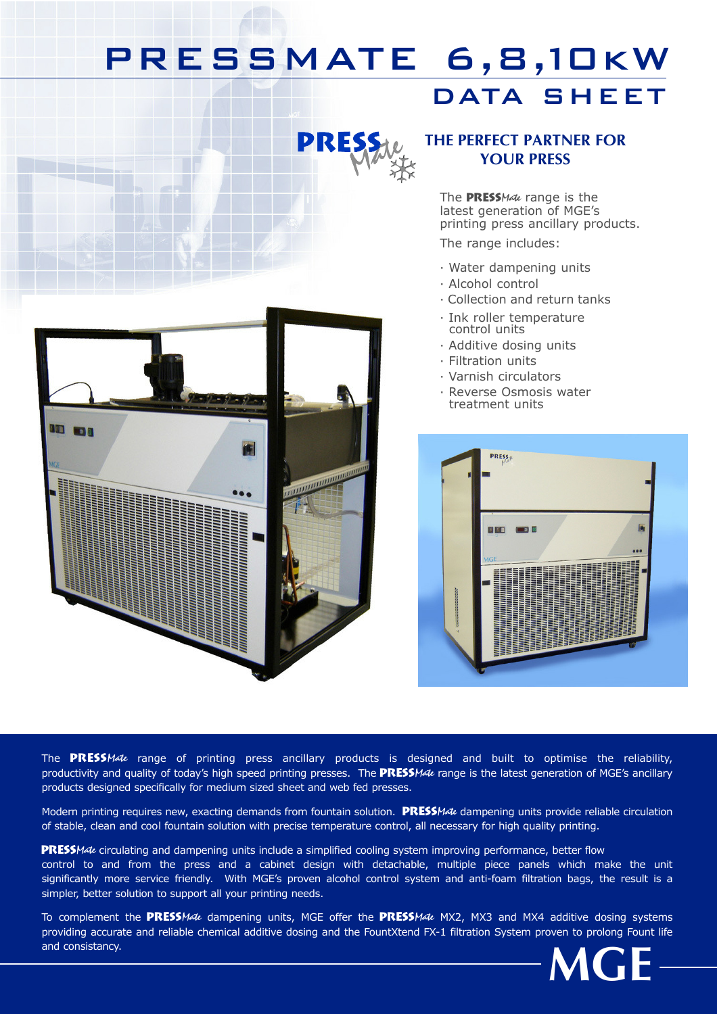## PRESSMATE 6,8,10kW DATA SHEET



### THE PERFECT PARTNER FOR YOUR PRESS

The PRESSMate range is the latest generation of MGE's printing press ancillary products.

The range includes:

- · Water dampening units
- · Alcohol control
- · Collection and return tanks
- · Ink roller temperature control units
- · Additive dosing units
- · Filtration units
- · Varnish circulators
- · Reverse Osmosis water treatment units



The PRESSMate range of printing press ancillary products is designed and built to optimise the reliability, productivity and quality of today's high speed printing presses. The **PRESS**Mate range is the latest generation of MGE's ancillary products designed specifically for medium sized sheet and web fed presses.

Modern printing requires new, exacting demands from fountain solution. **PRESSMate** dampening units provide reliable circulation of stable, clean and cool fountain solution with precise temperature control, all necessary for high quality printing.

PRESSMate circulating and dampening units include a simplified cooling system improving performance, better flow control to and from the press and a cabinet design with detachable, multiple piece panels which make the unit significantly more service friendly. With MGE's proven alcohol control system and anti-foam filtration bags, the result is a simpler, better solution to support all your printing needs.

To complement the PRESSMate dampening units, MGE offer the PRESSMate MX2, MX3 and MX4 additive dosing systems providing accurate and reliable chemical additive dosing and the FountXtend FX-1 filtration System proven to prolong Fount life and consistancy.